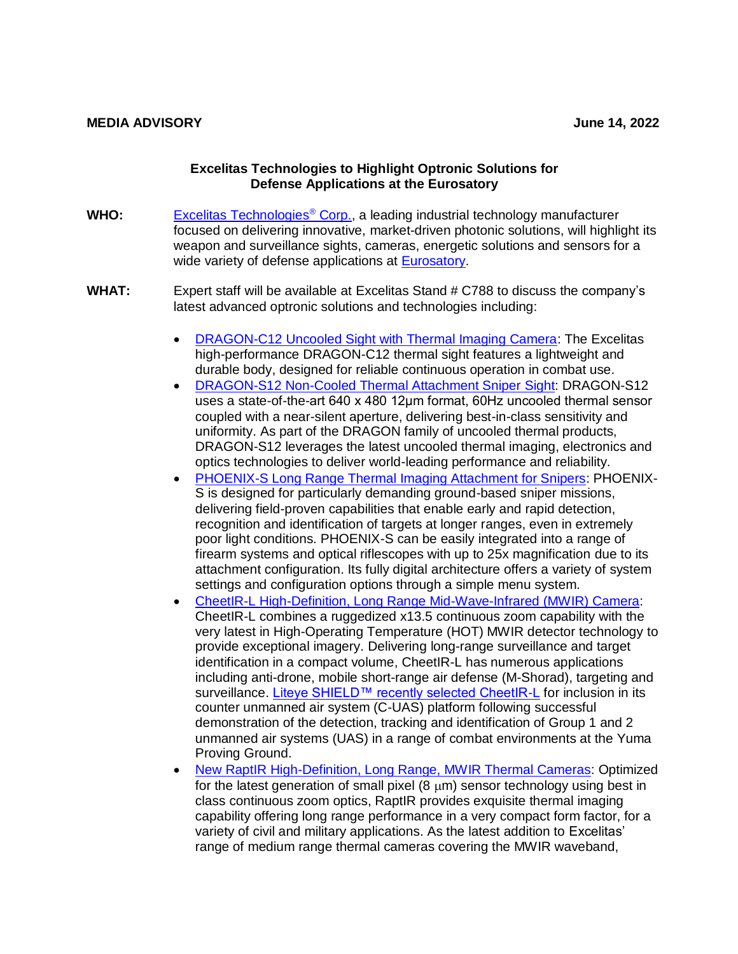## **Excelitas Technologies to Highlight Optronic Solutions for Defense Applications at the Eurosatory**

- **WHO:** [Excelitas Technologies](https://www.excelitas.com/)® Corp., a leading industrial technology manufacturer focused on delivering innovative, market-driven photonic solutions, will highlight its weapon and surveillance sights, cameras, energetic solutions and sensors for a wide variety of defense applications at [Eurosatory.](https://www.eurosatory.com/?lang=en)
- **WHAT:** Expert staff will be available at Excelitas Stand # C788 to discuss the company's latest advanced optronic solutions and technologies including:
	- [DRAGON-C12 Uncooled Sight with Thermal Imaging Camera:](https://www.excelitas.com/de/product/dragon-c12-uncooled-thermal-weapon-sight) The Excelitas high-performance DRAGON-C12 thermal sight features a lightweight and durable body, designed for reliable continuous operation in combat use.
	- [DRAGON-S12 Non-Cooled Thermal Attachment Sniper Sight:](https://www.excelitas.com/de/product/dragon-s12-uncooled-line-thermal-weapon-sniper-sight) DRAGON-S12 uses a state-of-the-art 640 x 480 12μm format, 60Hz uncooled thermal sensor coupled with a near-silent aperture, delivering best-in-class sensitivity and uniformity. As part of the DRAGON family of uncooled thermal products, DRAGON-S12 leverages the latest uncooled thermal imaging, electronics and optics technologies to deliver world-leading performance and reliability.
	- [PHOENIX-S Long Range Thermal Imaging Attachment for Snipers:](https://www.excelitas.com/de/product/phoenix-s-thermal-imaging-clip-long-range-sniper-sight) PHOENIX-S is designed for particularly demanding ground-based sniper missions, delivering field-proven capabilities that enable early and rapid detection, recognition and identification of targets at longer ranges, even in extremely poor light conditions. PHOENIX-S can be easily integrated into a range of firearm systems and optical riflescopes with up to 25x magnification due to its attachment configuration. Its fully digital architecture offers a variety of system settings and configuration options through a simple menu system.
	- [CheetIR-L High-Definition, Long Range Mid-Wave-Infrared \(MWIR\) Camera:](https://www.excelitas.com/product/cheetir-l-high-definition-long-range-mwir-camera) CheetIR-L combines a ruggedized x13.5 continuous zoom capability with the very latest in High-Operating Temperature (HOT) MWIR detector technology to provide exceptional imagery. Delivering long-range surveillance and target identification in a compact volume, CheetIR-L has numerous applications including anti-drone, mobile short-range air defense (M-Shorad), targeting and surveillance. Liteve SHIELD™ recently selected CheetIR-L for inclusion in its counter unmanned air system (C-UAS) platform following successful demonstration of the detection, tracking and identification of Group 1 and 2 unmanned air systems (UAS) in a range of combat environments at the Yuma Proving Ground.
	- [New RaptIR High-Definition, Long Range, MWIR Thermal Cameras:](https://www.excelitas.com/product/raptir-high-definition-mwir-camera) Optimized for the latest generation of small pixel  $(8 \mu m)$  sensor technology using best in class continuous zoom optics, RaptIR provides exquisite thermal imaging capability offering long range performance in a very compact form factor, for a variety of civil and military applications. As the latest addition to Excelitas' range of medium range thermal cameras covering the MWIR waveband,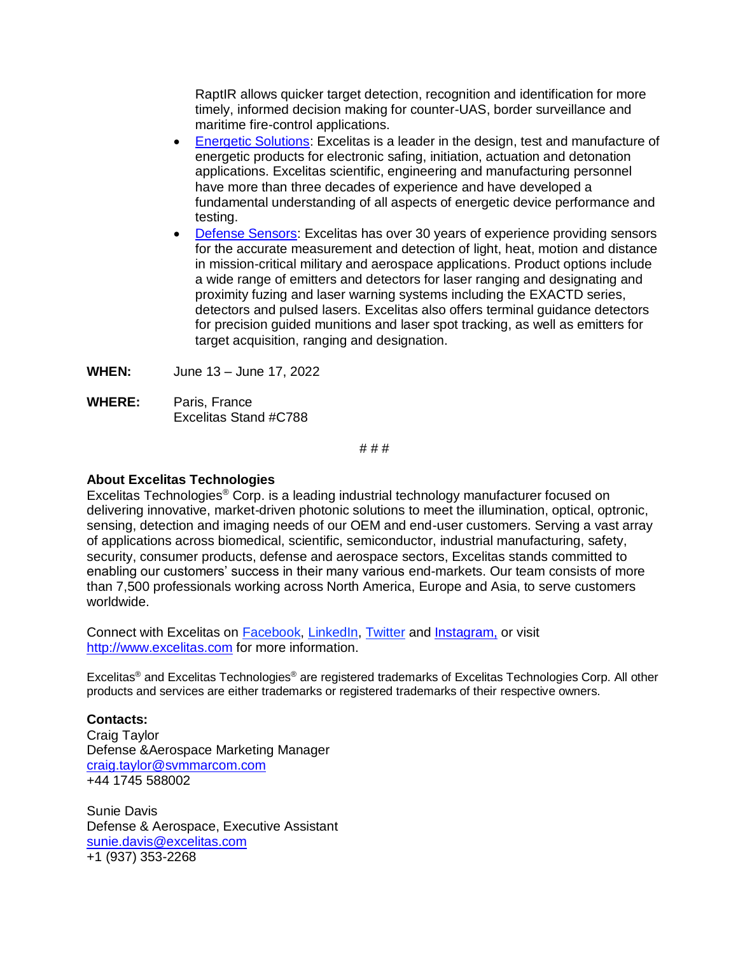RaptIR allows quicker target detection, recognition and identification for more timely, informed decision making for counter-UAS, border surveillance and maritime fire-control applications.

- [Energetic Solutions:](https://www.excelitas.com/product-category/energetics) Excelitas is a leader in the design, test and manufacture of energetic products for electronic safing, initiation, actuation and detonation applications. Excelitas scientific, engineering and manufacturing personnel have more than three decades of experience and have developed a fundamental understanding of all aspects of energetic device performance and testing.
- [Defense Sensors:](https://www.excelitas.com/product-category/defense-and-aerospace-sensors) Excelitas has over 30 years of experience providing sensors for the accurate measurement and detection of light, heat, motion and distance in mission-critical military and aerospace applications. Product options include a wide range of emitters and detectors for laser ranging and designating and proximity fuzing and laser warning systems including the EXACTD series, detectors and pulsed lasers. Excelitas also offers terminal guidance detectors for precision guided munitions and laser spot tracking, as well as emitters for target acquisition, ranging and designation.
- **WHEN:** June 13 June 17, 2022
- **WHERE:** Paris, France Excelitas Stand #C788

# # #

## **About Excelitas Technologies**

Excelitas Technologies® Corp. is a leading industrial technology manufacturer focused on delivering innovative, market-driven photonic solutions to meet the illumination, optical, optronic, sensing, detection and imaging needs of our OEM and end-user customers. Serving a vast array of applications across biomedical, scientific, semiconductor, industrial manufacturing, safety, security, consumer products, defense and aerospace sectors, Excelitas stands committed to enabling our customers' success in their many various end-markets. Our team consists of more than 7,500 professionals working across North America, Europe and Asia, to serve customers worldwide.

Connect with Excelitas on [Facebook,](https://www.facebook.com/Excelitas/) [LinkedIn,](https://www.linkedin.com/company/excelitas-technologies/) [Twitter](https://twitter.com/excelitas) and [Instagram,](https://www.instagram.com/excelitas_technologies_corp) or visit [http://www.excelitas.com](http://www.excelitas.com/) for more information.

Excelitas® and Excelitas Technologies® are registered trademarks of Excelitas Technologies Corp. All other products and services are either trademarks or registered trademarks of their respective owners.

**Contacts:** Craig Taylor Defense &Aerospace Marketing Manager [craig.taylor@svmmarcom.com](mailto:craig.taylor@svmmarcom.com) +44 1745 588002

Sunie Davis Defense & Aerospace, Executive Assistant [sunie.davis@excelitas.com](mailto:sunie.davis@excelitas.com) +1 (937) 353-2268